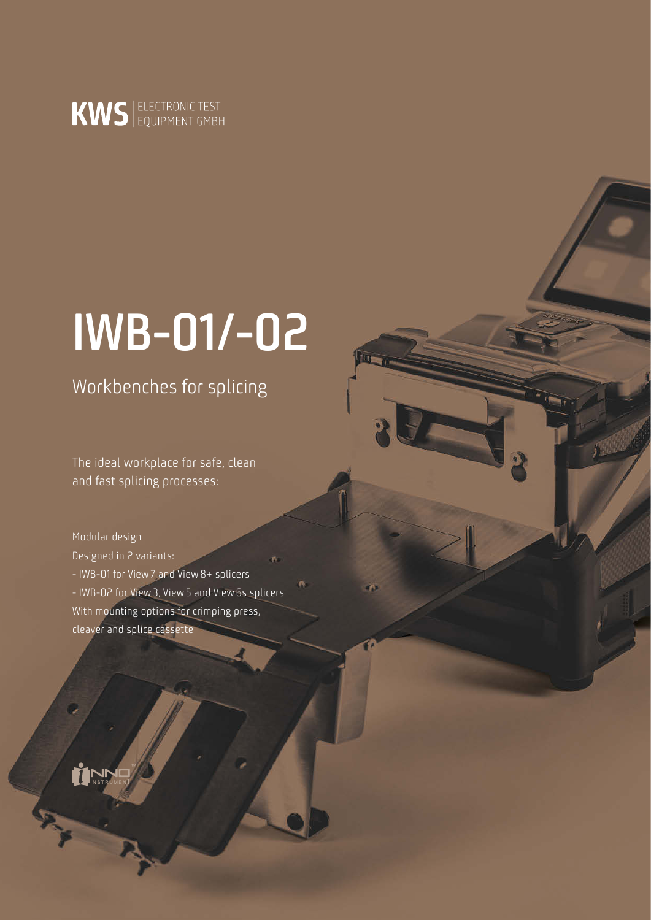

# **IWB-01/-02**

Workbenches for splicing

The ideal workplace for safe, clean and fast splicing processes:

Modular design Designed in 2 variants: - IWB-01 for View7 and View8+ splicers - IWB-02 for View3, View5 and View6s splicers With mounting options for crimping press, cleaver and splice cassette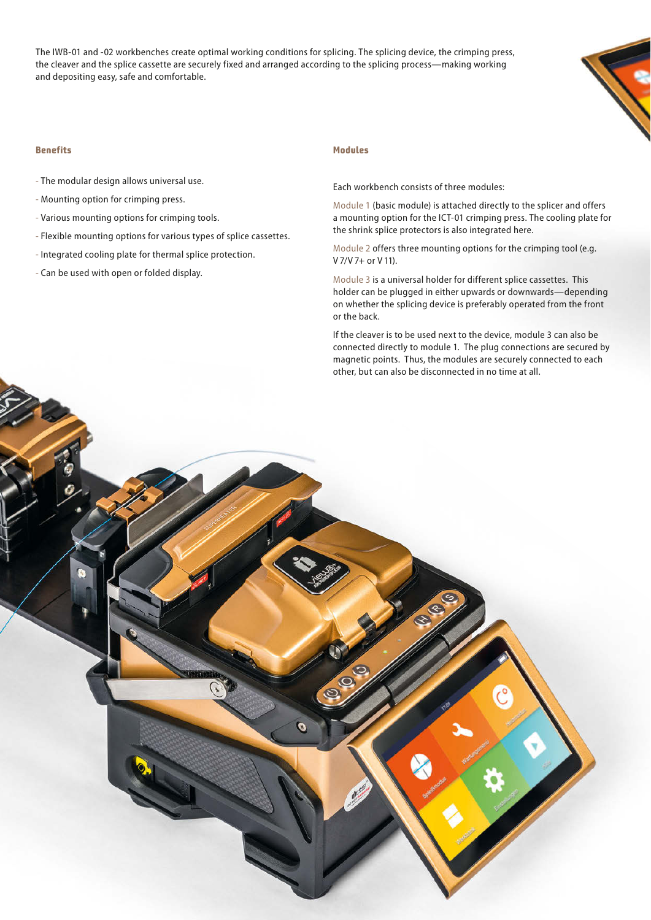The IWB-01 and -02 workbenches create optimal working conditions for splicing. The splicing device, the crimping press, the cleaver and the splice cassette are securely fixed and arranged according to the splicing process—making working and depositing easy, safe and comfortable.



### **Benefits Modules**

- The modular design allows universal use.
- Mounting option for crimping press.
- Various mounting options for crimping tools.
- Flexible mounting options for various types of splice cassettes.
- Integrated cooling plate for thermal splice protection.
- Can be used with open or folded display.

Each workbench consists of three modules:

Module 1 (basic module) is attached directly to the splicer and offers a mounting option for the ICT-01 crimping press. The cooling plate for the shrink splice protectors is also integrated here.

Module 2 offers three mounting options for the crimping tool (e.g. V 7/V 7+ or V 11).

Module 3 is a universal holder for different splice cassettes. This holder can be plugged in either upwards or downwards—depending on whether the splicing device is preferably operated from the front or the back.

If the cleaver is to be used next to the device, module 3 can also be connected directly to module 1. The plug connections are secured by magnetic points. Thus, the modules are securely connected to each other, but can also be disconnected in no time at all.

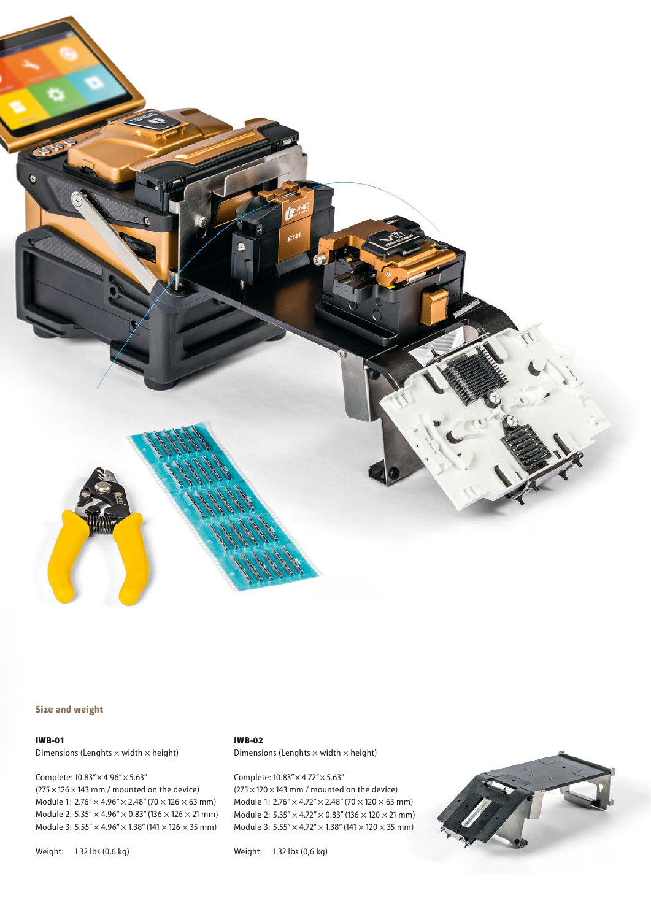

## **Size and weight**

### IWB-01

Dimensions (Lenghts  $\times$  width  $\times$  height)

Complete: 10.83"× 4.96"× 5.63"  $(275 \times 126 \times 143$  mm / mounted on the device) Module 1:  $2.76'' \times 4.96'' \times 2.48''$  (70  $\times$  126  $\times$  63 mm) Module 2:  $5.35'' \times 4.96'' \times 0.83''$  (136  $\times$  126  $\times$  21 mm) Module 3:  $5.55'' \times 4.96'' \times 1.38''$  (141  $\times$  126  $\times$  35 mm)

Weight: 1.32 lbs (0,6 kg)

# IWB-02

Dimensions (Lenghts  $\times$  width  $\times$  height)

Complete: 10.83"× 4.72"× 5.63"  $(275 \times 120 \times 143$  mm / mounted on the device) Module 1:  $2.76'' \times 4.72'' \times 2.48''$  (70  $\times$  120  $\times$  63 mm) Module 2:  $5.35'' \times 4.72'' \times 0.83''$  (136  $\times$  120  $\times$  21 mm) Module 3:  $5.55'' \times 4.72'' \times 1.38''$  (141  $\times$  120  $\times$  35 mm)

Weight: 1.32 lbs (0,6 kg)